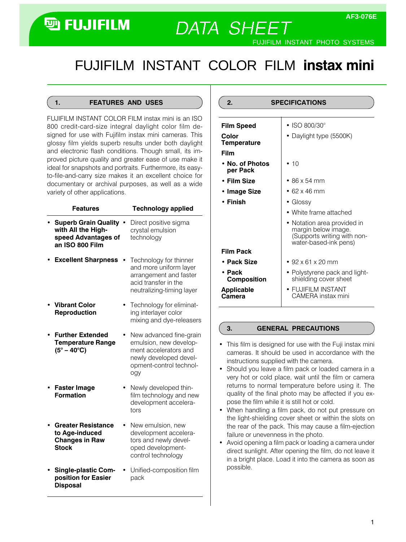# **<sup>h</sup>** FUJIFILM

FUJIFILM INSTANT PHOTO SYSTEMS

# FUJIFILMINSTANTCOLORFILM instax mini

**DATA SHEET** 

#### 1. FEATURES AND USES

FUJIFILM INSTANT COLOR FILM instax mini is an ISO 800 credit-card-size integral daylight color film designed for use with Fujifilm instax mini cameras. This glossy film yields superb results under both daylight and electronic flash conditions. Though small, its improved picture quality and greater ease of use make it ideal for snapshots and portraits. Furthermore, its easyto-file-and-carry size makes it an excellent choice for documentary or archival purposes, as well as a wide variety of other applications.

| <b>Features</b>                                                                             | <b>Technology applied</b>                                                                                                              |
|---------------------------------------------------------------------------------------------|----------------------------------------------------------------------------------------------------------------------------------------|
| <b>Superb Grain Quality</b><br>with All the High-<br>speed Advantages of<br>an ISO 800 Film | Direct positive sigma<br>crystal emulsion<br>technology                                                                                |
| <b>Excellent Sharpness</b>                                                                  | Technology for thinner<br>and more uniform layer<br>arrangement and faster<br>acid transfer in the<br>neutralizing-timing layer        |
| <b>Vibrant Color</b><br>Reproduction                                                        | Technology for eliminat-<br>ing interlayer color<br>mixing and dye-releasers                                                           |
| <b>Further Extended</b><br><b>Temperature Range</b><br>$(5^\circ - 40^\circ \text{C})$      | New advanced fine-grain<br>emulsion, new develop-<br>ment accelerators and<br>newly developed devel-<br>opment-control technol-<br>ogy |
| <b>Faster Image</b><br><b>Formation</b>                                                     | Newly developed thin-<br>film technology and new<br>development accelera-<br>tors                                                      |
| <b>Greater Resistance</b><br>to Age-induced<br><b>Changes in Raw</b><br><b>Stock</b>        | New emulsion, new<br>development accelera-<br>tors and newly devel-<br>oped development-<br>control technology                         |
| <b>Single-plastic Com-</b><br>position for Easier<br><b>Disposal</b>                        | Unified-composition film<br>pack                                                                                                       |

| 2.<br><b>SPECIFICATIONS</b> |                                                                                                            |  |  |  |
|-----------------------------|------------------------------------------------------------------------------------------------------------|--|--|--|
| <b>Film Speed</b>           | • ISO 800/30 $^{\circ}$                                                                                    |  |  |  |
| Color<br><b>Temperature</b> | • Daylight type (5500K)                                                                                    |  |  |  |
| Film                        |                                                                                                            |  |  |  |
| • No. of Photos<br>per Pack | • 10                                                                                                       |  |  |  |
| • Film Size                 | $\bullet$ 86 x 54 mm                                                                                       |  |  |  |
| • Image Size                | $\cdot$ 62 x 46 mm                                                                                         |  |  |  |
| • Finish                    | $\bullet$ Glossy                                                                                           |  |  |  |
|                             | • White frame attached                                                                                     |  |  |  |
|                             | • Notation area provided in<br>margin below image.<br>(Supports writing with non-<br>water-based-ink pens) |  |  |  |
| <b>Film Pack</b>            |                                                                                                            |  |  |  |
| • Pack Size                 | $\cdot$ 92 x 61 x 20 mm                                                                                    |  |  |  |
| • Pack<br>Composition       | • Polystyrene pack and light-<br>shielding cover sheet                                                     |  |  |  |
| <b>Applicable</b><br>Camera | • FUJIFILM INSTANT<br>CAMFRA instax mini                                                                   |  |  |  |

#### 3. GENERAL PRECAUTIONS

- This film is designed for use with the Fuji instax mini cameras. It should be used in accordance with the instructions supplied with the camera.
- Should you leave a film pack or loaded camera in a very hot or cold place, wait until the film or camera returns to normal temperature before using it. The quality of the final photo may be affected if you expose the film while it is still hot or cold.
- When handling a film pack, do not put pressure on the light-shielding cover sheet or within the slots on the rear of the pack. This may cause a film-ejection failure or unevenness in the photo.
- Avoid opening a film pack or loading a camera under direct sunlight. After opening the film, do not leave it in a bright place. Load it into the camera as soon as possible.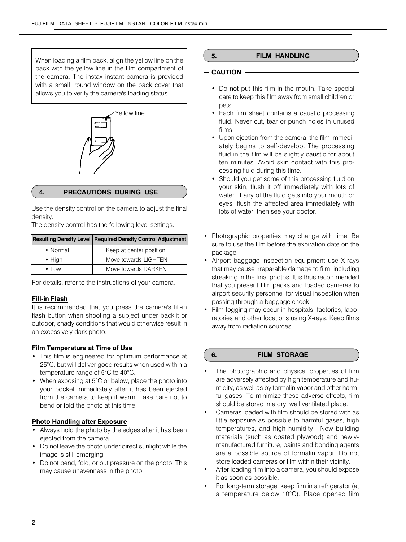When loading a film pack, align the yellow line on the pack with the yellow line in the film compartment of the camera. The instax instant camera is provided with a small, round window on the back cover that allows you to verify the camera's loading status.



# 4. PRECAUTIONS DURING USE

Use the density control on the camera to adjust the final density.

The density control has the following level settings.

# Resulting Density Level Required Density Control Adjustment

| • Normal           | Keep at center position |
|--------------------|-------------------------|
| $\bullet$ High     | Move towards LIGHTEN    |
| $\cdot$ 1 $\cap$ W | Move towards DARKEN     |

For details, refer to the instructions of your camera.

#### Fill-in Flash

It is recommended that you press the camera's fill-in flash button when shooting a subject under backlit or outdoor, shady conditions that would otherwise result in an excessively dark photo.

#### Film Temperature at Time of Use

- This film is engineered for optimum performance at 25°C, but will deliver good results when used within a temperature range of 5°C to 40°C.
- When exposing at 5°C or below, place the photo into your pocket immediately after it has been ejected from the camera to keep it warm. Take care not to bend or fold the photo at this time.

#### Photo Handling after Exposure

- Always hold the photo by the edges after it has been ejected from the camera.
- Do not leave the photo under direct sunlight while the image is still emerging.
- Do not bend, fold, or put pressure on the photo. This may cause unevenness in the photo.

### 5. FILM HANDLING

### CAUTION

- Do not put this film in the mouth. Take special care to keep this film away from small children or pets.
- Each film sheet contains a caustic processing fluid. Never cut, tear or punch holes in unused films.
- Upon ejection from the camera, the film immediately begins to self-develop. The processing fluid in the film will be slightly caustic for about ten minutes. Avoid skin contact with this processing fluid during this time.
- Should you get some of this processing fluid on your skin, flush it off immediately with lots of water. If any of the fluid gets into your mouth or eyes, flush the affected area immediately with lots of water, then see your doctor.
- Photographic properties may change with time. Be sure to use the film before the expiration date on the package.
- Airport baggage inspection equipment use X-rays that may cause irreparable damage to film, including streaking in the final photos. It is thus recommended that you present film packs and loaded cameras to airport security personnel for visual inspection when passing through a baggage check.
- Film fogging may occur in hospitals, factories, laboratories and other locations using X-rays. Keep films away from radiation sources.

#### 6. FILM STORAGE

- The photographic and physical properties of film are adversely affected by high temperature and humidity, as well as by formalin vapor and other harmful gases. To minimize these adverse effects, film should be stored in a dry, well ventilated place.
- Cameras loaded with film should be stored with as little exposure as possible to harmful gases, high temperatures, and high humidity. New building materials (such as coated plywood) and newlymanufactured furniture, paints and bonding agents are a possible source of formalin vapor. Do not store loaded cameras or film within their vicinity.
- After loading film into a camera, you should expose it as soon as possible.
- For long-term storage, keep film in a refrigerator (at a temperature below 10°C). Place opened film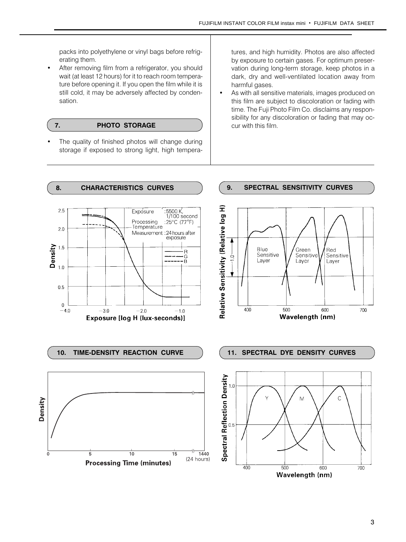packs into polyethylene or vinyl bags before refrigerating them.

 After removing film from a refrigerator, you should wait (at least 12 hours) for it to reach room temperature before opening it. If you open the film while it is still cold, it may be adversely affected by condensation.

### 7. PHOTO STORAGE

 The quality of finished photos will change during storage if exposed to strong light, high temperatures, and high humidity. Photos are also affected by exposure to certain gases. For optimum preservation during long-term storage, keep photos in a dark, dry and well-ventilated location away from harmful gases.

 As with all sensitive materials, images produced on this film are subject to discoloration or fading with time. The Fuji Photo Film Co. disclaims any responsibility for any discoloration or fading that may occur with this film.

# 8. CHARACTERISTICS CURVES 20. SPECTRAL SENSITIVITY CURVES